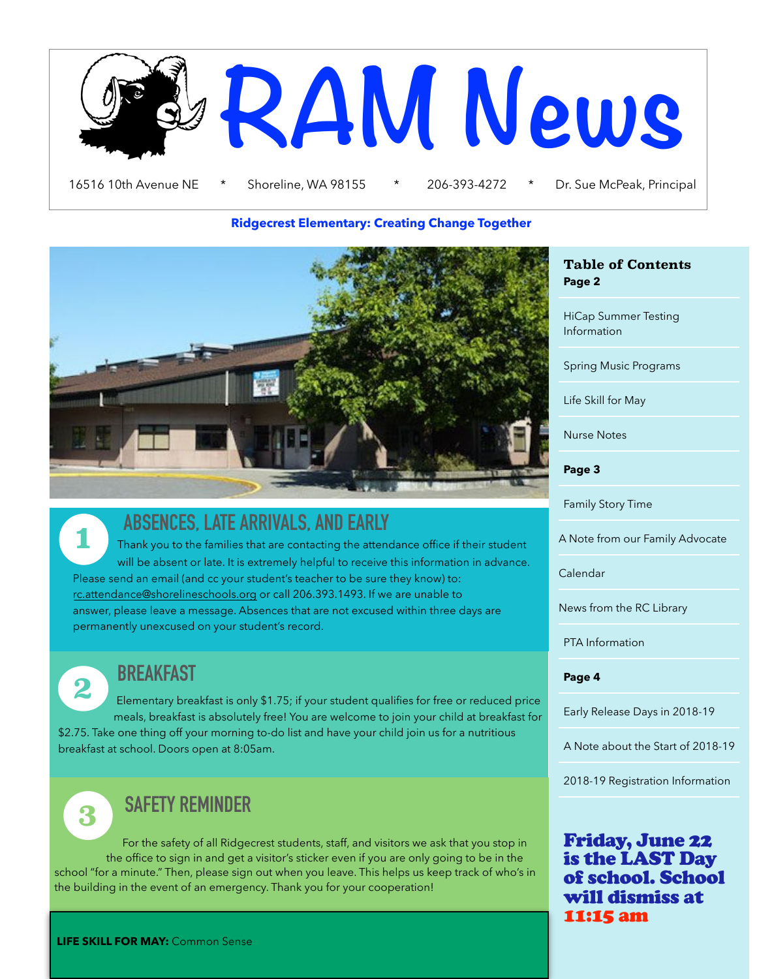

#### **Ridgecrest Elementary: Creating Change Together**



## **ABSENCES, LATE ARRIVALS, AND EARLY**

**1** Thank you to the families that are contacting the attendance office if their student will be absent or late. It is extremely helpful to receive this information in advance. Please send an email (and cc your student's teacher to be sure they know) to: [rc.attendance@shorelineschools.org](mailto:rc.attendance@shorelineschools.org) or call 206.393.1493. If we are unable to answer, please leave a message. Absences that are not excused within three days are permanently unexcused on your student's record.

**2 BREAKFAST**

 Elementary breakfast is only \$1.75; if your student qualifies for free or reduced price meals, breakfast is absolutely free! You are welcome to join your child at breakfast for \$2.75. Take one thing off your morning to-do list and have your child join us for a nutritious breakfast at school. Doors open at 8:05am.

# **3 SAFETY REMINDER**

For the safety of all Ridgecrest students, staff, and visitors we ask that you stop in the office to sign in and get a visitor's sticker even if you are only going to be in the school "for a minute." Then, please sign out when you leave. This helps us keep track of who's in the building in the event of an emergency. Thank you for your cooperation!

#### **Table of Contents Page 2**

HiCap Summer Testing Information

Spring Music Programs

Life Skill for May

Nurse Notes

**Page 3** 

Family Story Time

A Note from our Family Advocate

Calendar

News from the RC Library

PTA Information

#### **Page 4**

Early Release Days in 2018-19

A Note about the Start of 2018-19

2018-19 Registration Information

Friday, June 22 is the LAST Day of school. School will dismiss at 11:15 am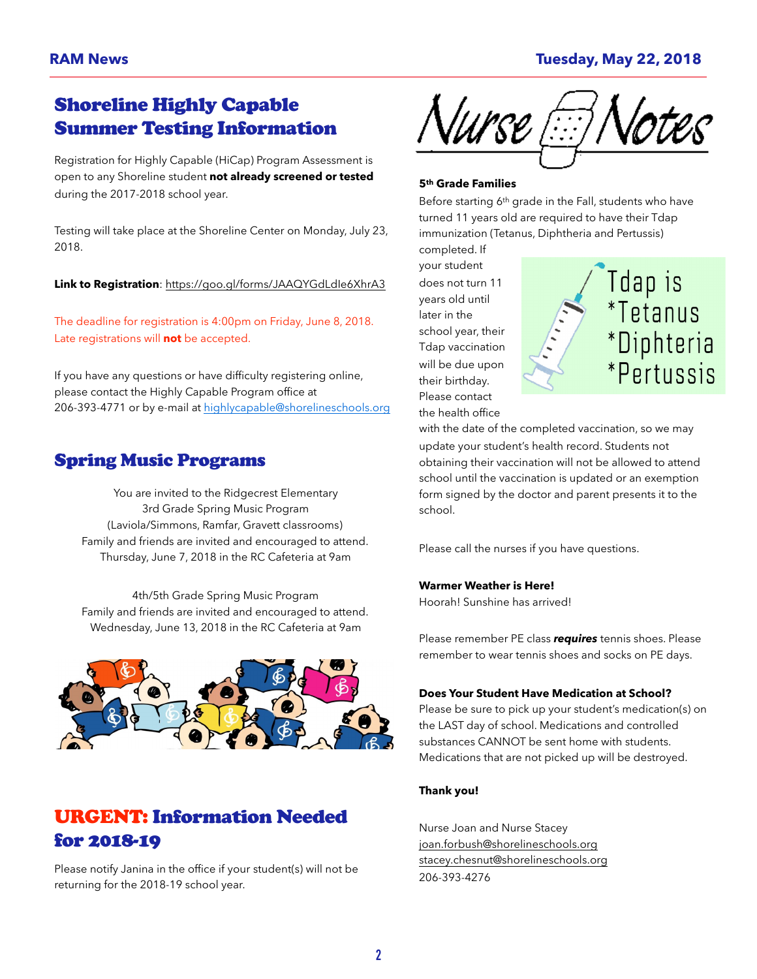## Shoreline Highly Capable Summer Testing Information

Registration for Highly Capable (HiCap) Program Assessment is open to any Shoreline student **not already screened or tested** during the 2017-2018 school year.

Testing will take place at the Shoreline Center on Monday, July 23, 2018.

**Link to Registration**: <https://goo.gl/forms/JAAQYGdLdIe6XhrA3>

The deadline for registration is 4:00pm on Friday, June 8, 2018. Late registrations will **not** be accepted.

If you have any questions or have difficulty registering online, please contact the Highly Capable Program office at 206-393-4771 or by e-mail at [highlycapable@shorelineschools.org](mailto:highlycapable@shorelineschools.org)

## Spring Music Programs

You are invited to the Ridgecrest Elementary 3rd Grade Spring Music Program (Laviola/Simmons, Ramfar, Gravett classrooms) Family and friends are invited and encouraged to attend. Thursday, June 7, 2018 in the RC Cafeteria at 9am

4th/5th Grade Spring Music Program Family and friends are invited and encouraged to attend. Wednesday, June 13, 2018 in the RC Cafeteria at 9am



Please notify Janina in the office if your student(s) will not be returning for the 2018-19 school year.



#### **5th Grade Families**

Before starting 6<sup>th</sup> grade in the Fall, students who have turned 11 years old are required to have their Tdap immunization (Tetanus, Diphtheria and Pertussis)

completed. If your student does not turn 11 years old until later in the school year, their Tdap vaccination will be due upon their birthday. Please contact the health office



with the date of the completed vaccination, so we may update your student's health record. Students not obtaining their vaccination will not be allowed to attend school until the vaccination is updated or an exemption form signed by the doctor and parent presents it to the school.

Please call the nurses if you have questions.

#### **Warmer Weather is Here!**

Hoorah! Sunshine has arrived!

Please remember PE class *requires* tennis shoes. Please remember to wear tennis shoes and socks on PE days.

#### **Does Your Student Have Medication at School?**

Please be sure to pick up your student's medication(s) on the LAST day of school. Medications and controlled substances CANNOT be sent home with students. Medications that are not picked up will be destroyed.

#### **Thank you!**

Nurse Joan and Nurse Stacey [joan.forbush@shorelineschools.org](mailto:joan.forbush@shorelineschools.org) [stacey.chesnut@shorelineschools.org](mailto:stacey.chesnut@shorelineschools.org) 206-393-4276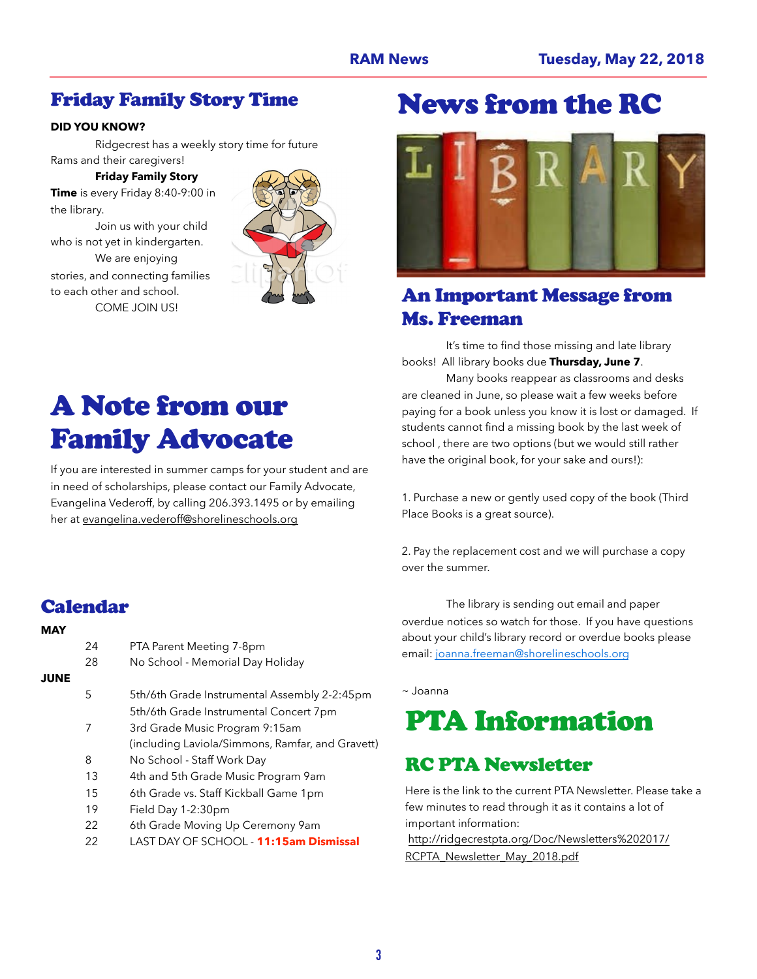### Friday Family Story Time

#### **DID YOU KNOW?**

 Ridgecrest has a weekly story time for future Rams and their caregivers!

**Friday Family Story** 

**Time** is every Friday 8:40-9:00 in the library.

 Join us with your child who is not yet in kindergarten. We are enjoying stories, and connecting families to each other and school. COME JOIN US!



# A Note from our Family Advocate

If you are interested in summer camps for your student and are in need of scholarships, please contact our Family Advocate, Evangelina Vederoff, by calling 206.393.1495 or by emailing her at [evangelina.vederoff@shorelineschools.org](mailto:evangelina.vederoff@shorelineschools.org)

## News from the RC



## An Important Message from Ms. Freeman

 It's time to find those missing and late library books! All library books due **Thursday, June 7**.

 Many books reappear as classrooms and desks are cleaned in June, so please wait a few weeks before paying for a book unless you know it is lost or damaged. If students cannot find a missing book by the last week of school , there are two options (but we would still rather have the original book, for your sake and ours!):

1. Purchase a new or gently used copy of the book (Third Place Books is a great source).

2. Pay the replacement cost and we will purchase a copy over the summer.

 The library is sending out email and paper overdue notices so watch for those. If you have questions about your child's library record or overdue books please email: [joanna.freeman@shorelineschools.org](mailto:joanna.freeman@shorelineschools.org)

~ Joanna

# PTA Information

## RC PTA Newsletter

Here is the link to the current PTA Newsletter. Please take a few minutes to read through it as it contains a lot of important information:

[http://ridgecrestpta.org/Doc/Newsletters%202017/](http://ridgecrestpta.org/Doc/Newsletters%202017/RCPTA_Newsletter_May_2018.pdf) [RCPTA\\_Newsletter\\_May\\_2018.pdf](http://ridgecrestpta.org/Doc/Newsletters%202017/RCPTA_Newsletter_May_2018.pdf)

## Calendar

| MAY  |    |                                                  |
|------|----|--------------------------------------------------|
|      | 24 | PTA Parent Meeting 7-8pm                         |
|      | 28 | No School - Memorial Day Holiday                 |
| JUNE |    |                                                  |
|      | 5  | 5th/6th Grade Instrumental Assembly 2-2:45pm     |
|      |    | 5th/6th Grade Instrumental Concert 7pm           |
|      | 7  | 3rd Grade Music Program 9:15am                   |
|      |    | (including Laviola/Simmons, Ramfar, and Gravett) |
|      | 8  | No School - Staff Work Day                       |
|      | 13 | 4th and 5th Grade Music Program 9am              |
|      | 15 | 6th Grade vs. Staff Kickball Game 1pm            |
|      | 19 | Field Day 1-2:30pm                               |
|      | 22 | 6th Grade Moving Up Ceremony 9am                 |
|      | 22 | LAST DAY OF SCHOOL - <b>11:15am Dismissal</b>    |
|      |    |                                                  |